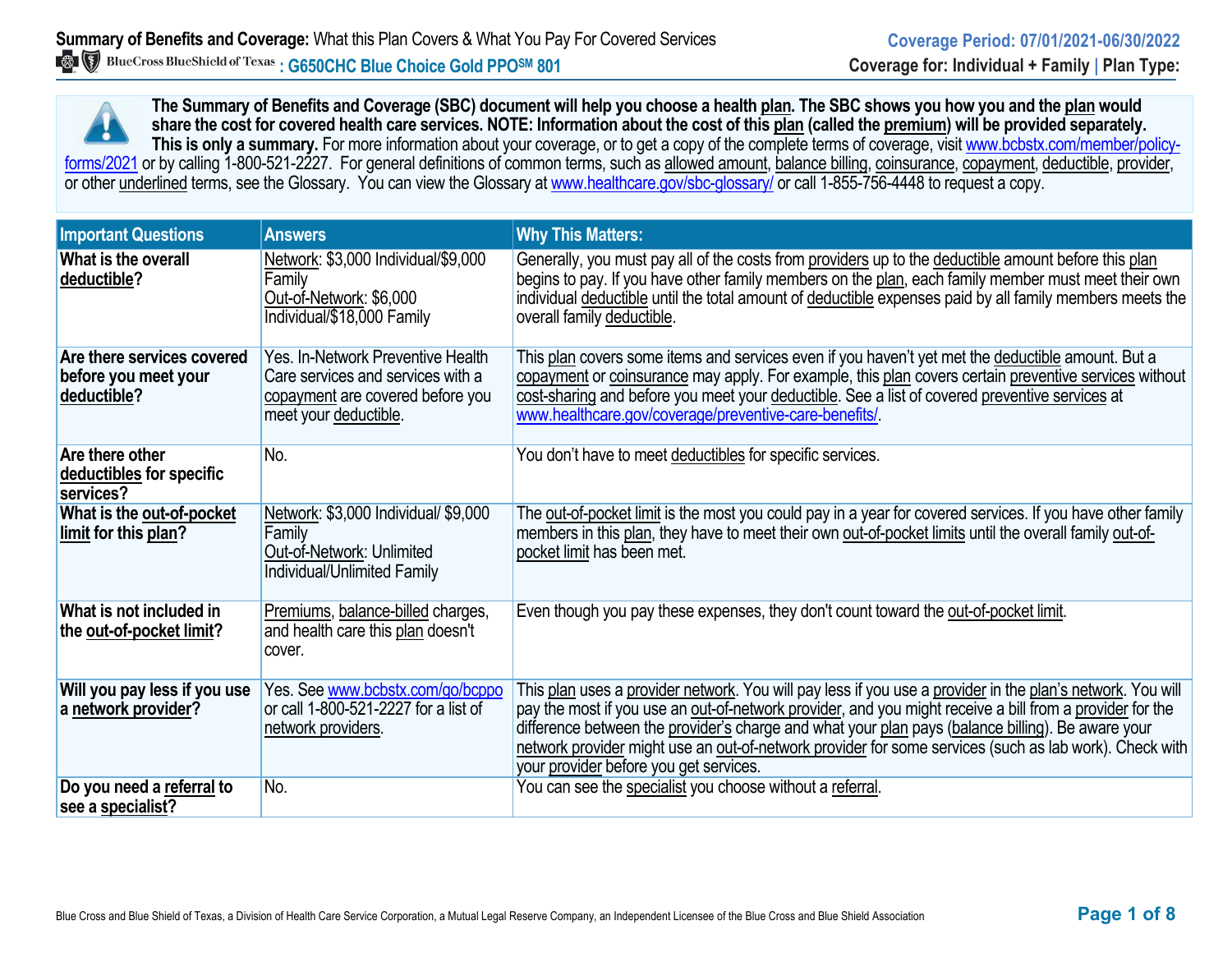**The Summary of Benefits and Coverage (SBC) document will help you choose a health plan. The SBC shows you how you and the plan would share the cost for covered health care services. NOTE: Information about the cost of this plan (called the premium) will be provided separately.** This is only a summary. For more information about your coverage, or to get a copy of the complete terms of coverage, visit www.bcbstx.com/member/policyforms/2021 or by calling 1-800-521-2227. For general definitions of common terms, such as allowed amount, balance billing, coinsurance, copayment, deductible, provider, or other underlined terms, see the Glossary. You can view the Glossary at [www.healthcare.gov/sbc-glossary/](http://www.healthcare.gov/sbc-glossary/) or call 1-855-756-4448 to request a copy.

| <b>Important Questions</b>                                        | <b>Answers</b>                                                                                                                      | <b>Why This Matters:</b>                                                                                                                                                                                                                                                                                                                                                                                                                                                        |
|-------------------------------------------------------------------|-------------------------------------------------------------------------------------------------------------------------------------|---------------------------------------------------------------------------------------------------------------------------------------------------------------------------------------------------------------------------------------------------------------------------------------------------------------------------------------------------------------------------------------------------------------------------------------------------------------------------------|
| What is the overall<br>deductible?                                | Network: \$3,000 Individual/\$9,000<br>Family<br>Out-of-Network: \$6,000<br>Individual/\$18,000 Family                              | Generally, you must pay all of the costs from providers up to the deductible amount before this plan<br>begins to pay. If you have other family members on the plan, each family member must meet their own<br>individual deductible until the total amount of deductible expenses paid by all family members meets the<br>overall family deductible.                                                                                                                           |
| Are there services covered<br>before you meet your<br>deductible? | Yes. In-Network Preventive Health<br>Care services and services with a<br>copayment are covered before you<br>meet your deductible. | This plan covers some items and services even if you haven't yet met the deductible amount. But a<br>copayment or coinsurance may apply. For example, this plan covers certain preventive services without<br>cost-sharing and before you meet your deductible. See a list of covered preventive services at<br>www.healthcare.gov/coverage/preventive-care-benefits/                                                                                                           |
| Are there other<br>deductibles for specific<br>services?          | No.                                                                                                                                 | You don't have to meet deductibles for specific services.                                                                                                                                                                                                                                                                                                                                                                                                                       |
| What is the out-of-pocket<br>limit for this plan?                 | Network: \$3,000 Individual/ \$9,000<br>Family<br>Out-of-Network: Unlimited<br>Individual/Unlimited Family                          | The out-of-pocket limit is the most you could pay in a year for covered services. If you have other family<br>members in this plan, they have to meet their own out-of-pocket limits until the overall family out-of-<br>pocket limit has been met.                                                                                                                                                                                                                             |
| What is not included in<br>the out-of-pocket limit?               | Premiums, balance-billed charges,<br>and health care this plan doesn't<br>cover.                                                    | Even though you pay these expenses, they don't count toward the out-of-pocket limit.                                                                                                                                                                                                                                                                                                                                                                                            |
| Will you pay less if you use<br>a network provider?               | Yes. See www.bcbstx.com/go/bcppo<br>or call 1-800-521-2227 for a list of<br>network providers.                                      | This plan uses a provider network. You will pay less if you use a provider in the plan's network. You will<br>pay the most if you use an out-of-network provider, and you might receive a bill from a provider for the<br>difference between the provider's charge and what your plan pays (balance billing). Be aware your<br>network provider might use an out-of-network provider for some services (such as lab work). Check with<br>your provider before you get services. |
| Do you need a referral to<br>see a specialist?                    | No.                                                                                                                                 | You can see the specialist you choose without a referral.                                                                                                                                                                                                                                                                                                                                                                                                                       |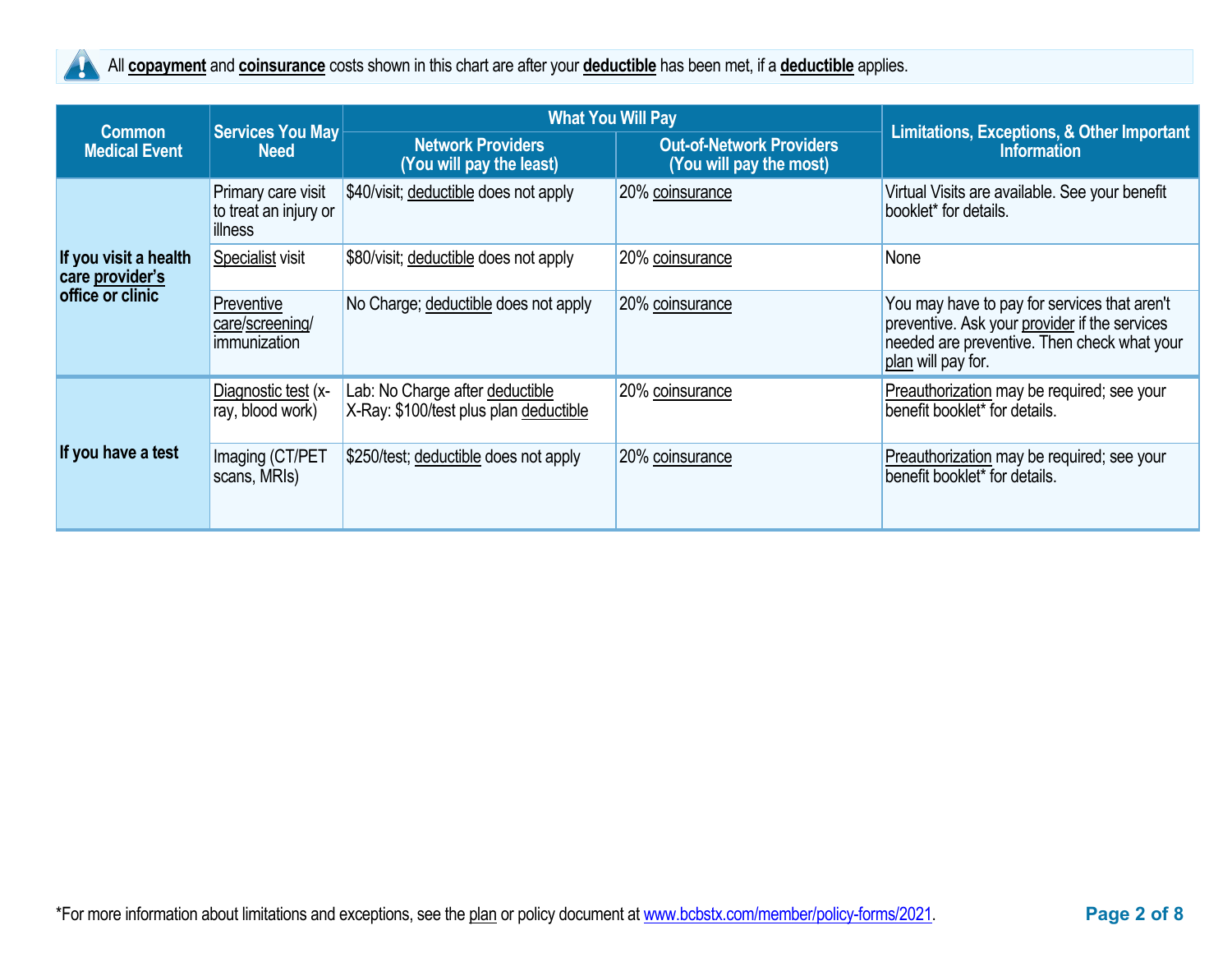

All **copayment** and **coinsurance** costs shown in this chart are after your **deductible** has been met, if a **deductible** applies.

| <b>Common</b>                            | Services You May                                       | <b>What You Will Pay</b>                                                                                           | Limitations, Exceptions, & Other Important |                                                                                                                                                                    |  |
|------------------------------------------|--------------------------------------------------------|--------------------------------------------------------------------------------------------------------------------|--------------------------------------------|--------------------------------------------------------------------------------------------------------------------------------------------------------------------|--|
| <b>Medical Event</b>                     | <b>Need</b>                                            | <b>Network Providers</b><br><b>Out-of-Network Providers</b><br>(You will pay the most)<br>(You will pay the least) |                                            | <b>Information</b>                                                                                                                                                 |  |
|                                          | Primary care visit<br>to treat an injury or<br>illness | \$40/visit; deductible does not apply                                                                              | 20% coinsurance                            | Virtual Visits are available. See your benefit<br>booklet* for details.                                                                                            |  |
| If you visit a health<br>care provider's | Specialist visit                                       | \$80/visit; deductible does not apply                                                                              | 20% coinsurance                            | None                                                                                                                                                               |  |
| office or clinic                         | Preventive<br>care/screening/<br>immunization          | No Charge; deductible does not apply                                                                               | 20% coinsurance                            | You may have to pay for services that aren't<br>preventive. Ask your provider if the services<br>needed are preventive. Then check what your<br>plan will pay for. |  |
|                                          | Diagnostic test (x-<br>ray, blood work)                | Lab: No Charge after deductible<br>X-Ray: \$100/test plus plan deductible                                          | 20% coinsurance                            | Preauthorization may be required; see your<br>benefit booklet* for details.                                                                                        |  |
| If you have a test                       | Imaging (CT/PET<br>scans, MRIs)                        | \$250/test; deductible does not apply                                                                              | 20% coinsurance                            | Preauthorization may be required; see your<br>benefit booklet* for details.                                                                                        |  |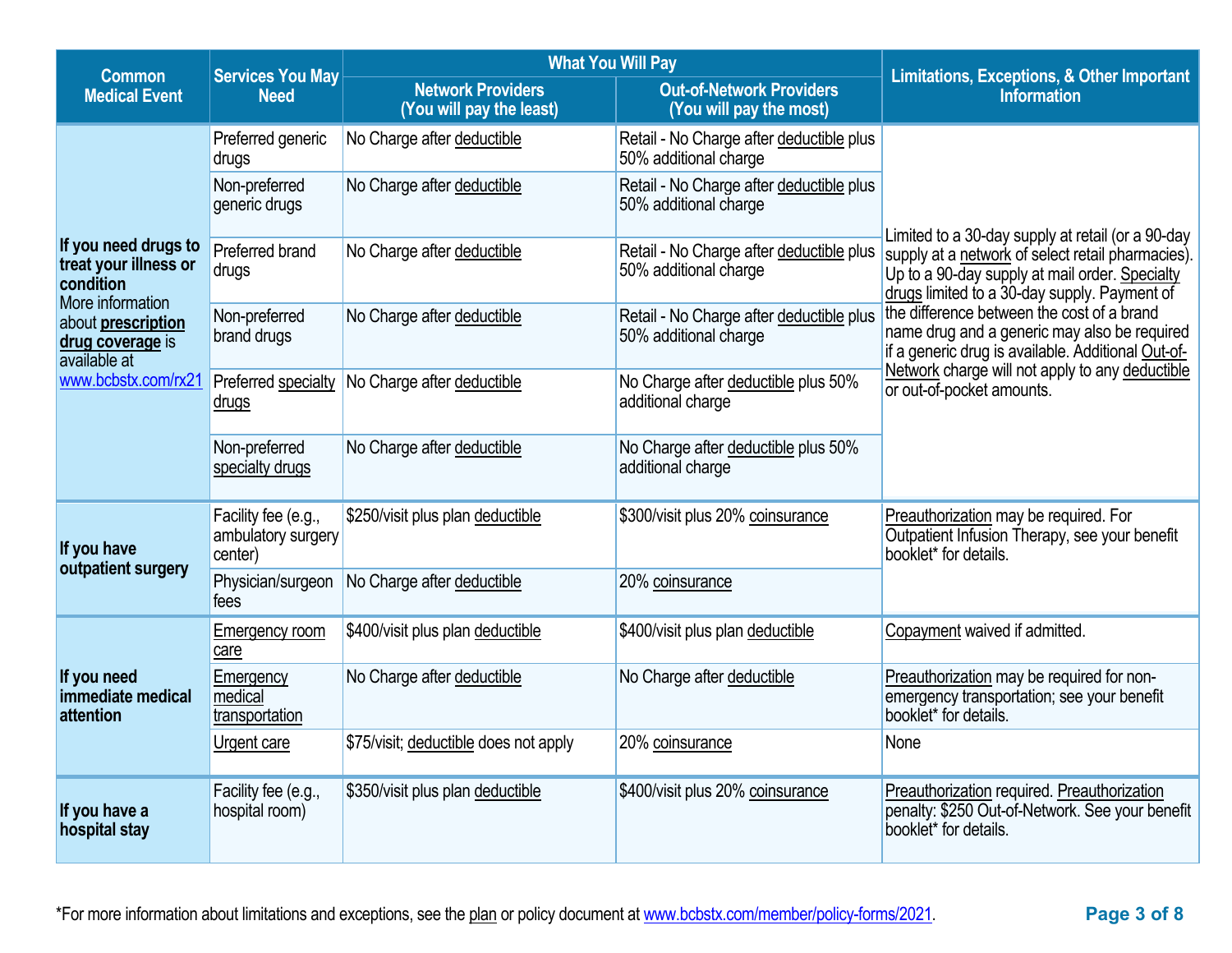| <b>Common</b>                                                                  | <b>Services You May</b>                              | <b>What You Will Pay</b>                             | <b>Limitations, Exceptions, &amp; Other Important</b>             |                                                                                                                                                     |
|--------------------------------------------------------------------------------|------------------------------------------------------|------------------------------------------------------|-------------------------------------------------------------------|-----------------------------------------------------------------------------------------------------------------------------------------------------|
| <b>Medical Event</b><br><b>Need</b>                                            |                                                      | <b>Network Providers</b><br>(You will pay the least) | <b>Out-of-Network Providers</b><br>(You will pay the most)        | <b>Information</b>                                                                                                                                  |
|                                                                                | Preferred generic<br>drugs                           | No Charge after deductible                           | Retail - No Charge after deductible plus<br>50% additional charge |                                                                                                                                                     |
|                                                                                | Non-preferred<br>generic drugs                       | No Charge after deductible                           | Retail - No Charge after deductible plus<br>50% additional charge | Limited to a 30-day supply at retail (or a 90-day                                                                                                   |
| If you need drugs to<br>treat your illness or<br>condition<br>More information | Preferred brand<br>drugs                             | No Charge after deductible                           | Retail - No Charge after deductible plus<br>50% additional charge | supply at a network of select retail pharmacies).<br>Up to a 90-day supply at mail order. Specialty<br>drugs limited to a 30-day supply. Payment of |
| about prescription<br>drug coverage is<br>available at                         | Non-preferred<br>brand drugs                         | No Charge after deductible                           | Retail - No Charge after deductible plus<br>50% additional charge | the difference between the cost of a brand<br>name drug and a generic may also be required<br>if a generic drug is available. Additional Out-of-    |
| www.bcbstx.com/rx21                                                            | Preferred specialty<br><u>drugs</u>                  | No Charge after deductible                           | No Charge after deductible plus 50%<br>additional charge          | Network charge will not apply to any deductible<br>or out-of-pocket amounts.                                                                        |
|                                                                                | Non-preferred<br>specialty drugs                     | No Charge after deductible                           | No Charge after deductible plus 50%<br>additional charge          |                                                                                                                                                     |
| If you have<br>outpatient surgery                                              | Facility fee (e.g.,<br>ambulatory surgery<br>center) | \$250/visit plus plan deductible                     | \$300/visit plus 20% coinsurance                                  | Preauthorization may be required. For<br>Outpatient Infusion Therapy, see your benefit<br>booklet* for details.                                     |
|                                                                                | Physician/surgeon<br>fees                            | No Charge after deductible                           | 20% coinsurance                                                   |                                                                                                                                                     |
|                                                                                | Emergency room<br>care                               | \$400/visit plus plan deductible                     | \$400/visit plus plan deductible                                  | Copayment waived if admitted.                                                                                                                       |
| If you need<br>immediate medical<br>attention                                  | Emergency<br>medical<br>transportation               | No Charge after deductible                           | No Charge after deductible                                        | Preauthorization may be required for non-<br>emergency transportation; see your benefit<br>booklet* for details.                                    |
|                                                                                | <b>Urgent care</b>                                   | \$75/visit; deductible does not apply                | 20% coinsurance                                                   | None                                                                                                                                                |
| If you have a<br>hospital stay                                                 | Facility fee (e.g.,<br>hospital room)                | \$350/visit plus plan deductible                     | \$400/visit plus 20% coinsurance                                  | Preauthorization required. Preauthorization<br>penalty: \$250 Out-of-Network. See your benefit<br>booklet* for details.                             |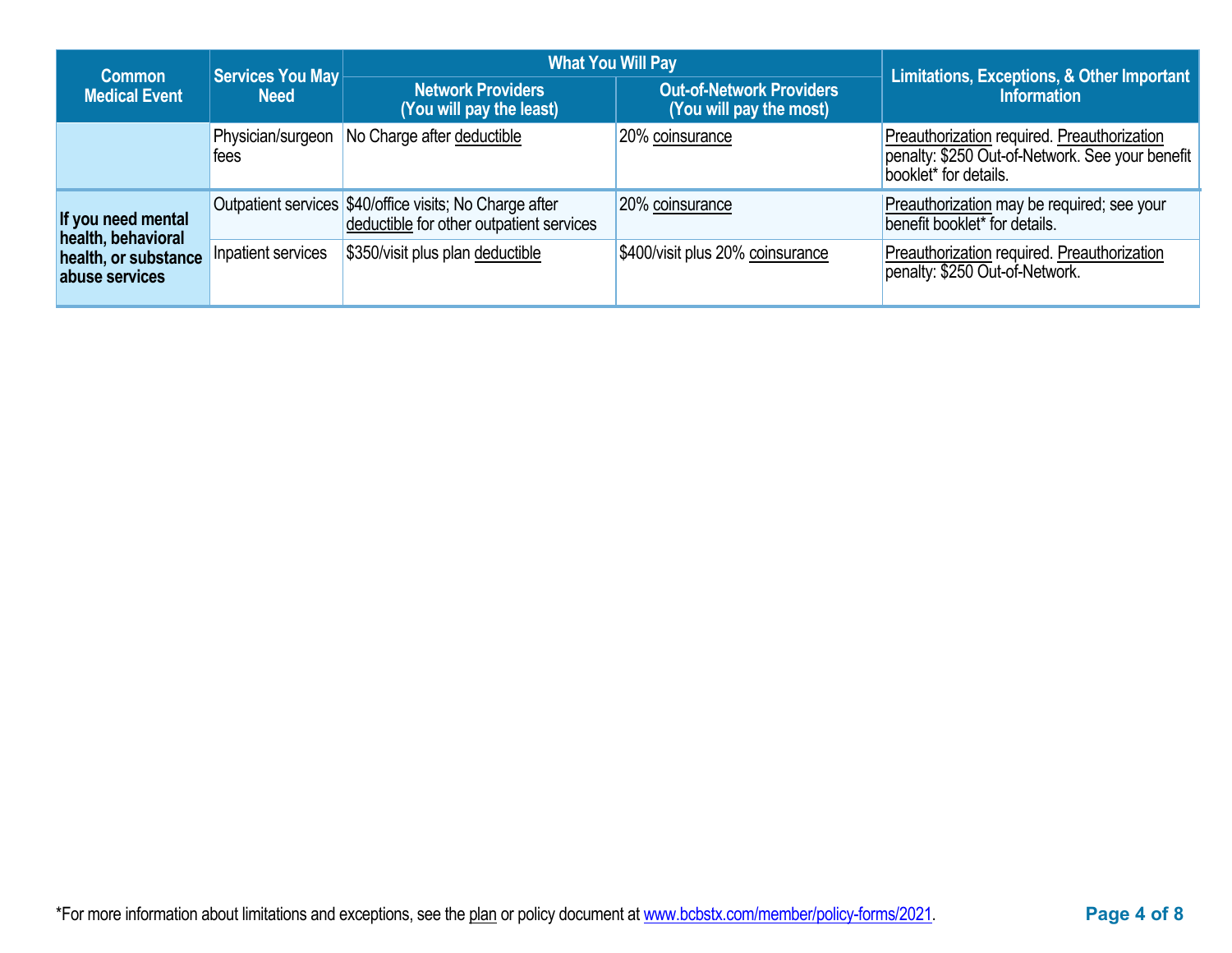| Common                                   | Services You May          | <b>What You Will Pay</b>                                                                            | Limitations, Exceptions, & Other Important                 |                                                                                                                         |  |
|------------------------------------------|---------------------------|-----------------------------------------------------------------------------------------------------|------------------------------------------------------------|-------------------------------------------------------------------------------------------------------------------------|--|
| <b>Medical Event</b>                     | <b>Need</b>               | <b>Network Providers</b><br>(You will pay the least)                                                | <b>Out-of-Network Providers</b><br>(You will pay the most) | <b>Information</b>                                                                                                      |  |
|                                          | Physician/surgeon<br>tees | No Charge after deductible                                                                          | 20% coinsurance                                            | Preauthorization required. Preauthorization<br>penalty: \$250 Out-of-Network. See your benefit<br>booklet* for details. |  |
| If you need mental<br>health, behavioral |                           | Outpatient services \$40/office visits; No Charge after<br>deductible for other outpatient services | 20% coinsurance                                            | Preauthorization may be required; see your<br>benefit booklet* for details.                                             |  |
| health, or substance<br>abuse services   | Inpatient services        | \$350/visit plus plan deductible                                                                    | \$400/visit plus 20% coinsurance                           | Preauthorization required. Preauthorization<br>penalty: \$250 Out-of-Network.                                           |  |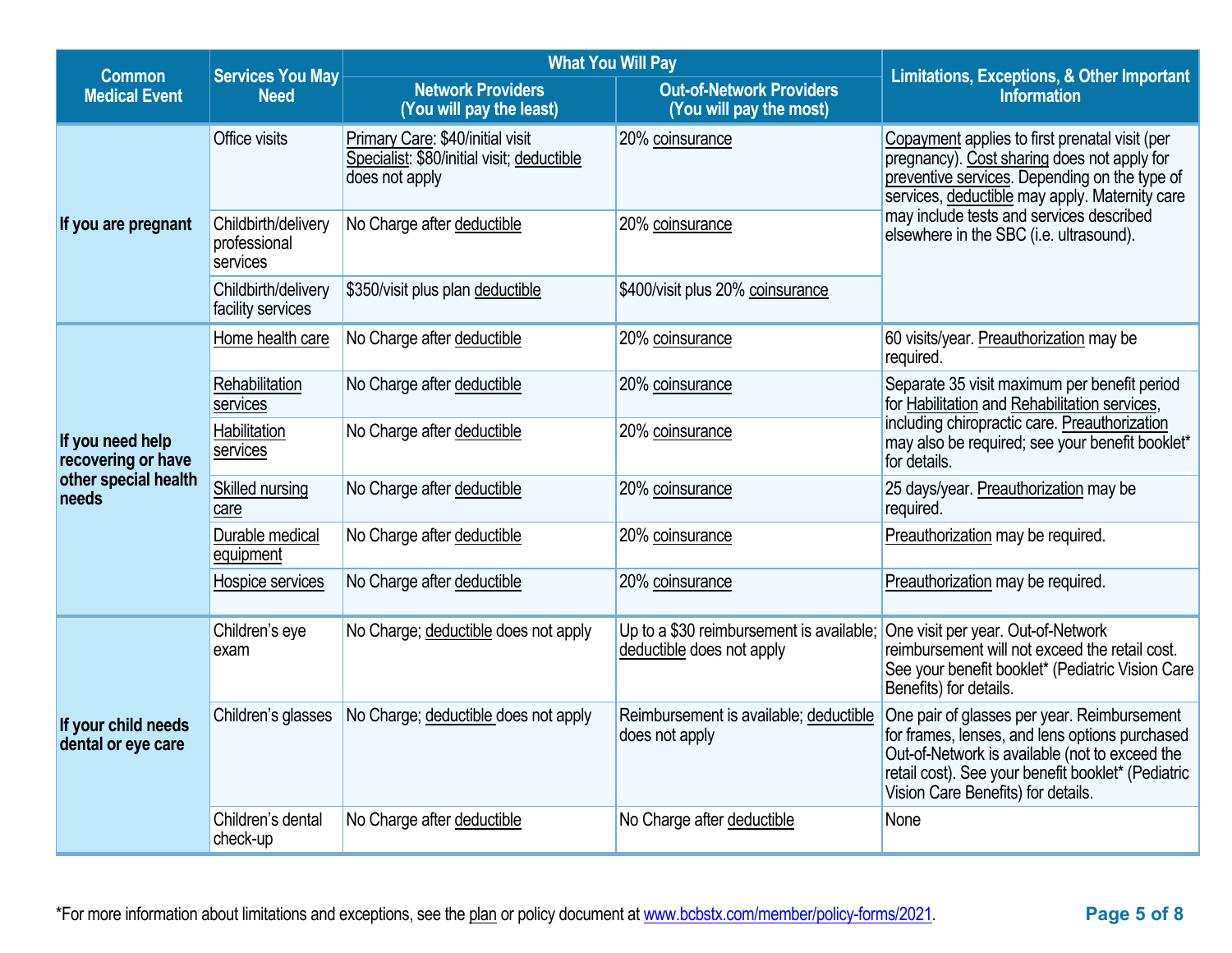| <b>Common</b>                             | <b>Services You May</b>                         | <b>What You Will Pay</b>                                                                         | Limitations, Exceptions, & Other Important                            |                                                                                                                                                                                                                                             |
|-------------------------------------------|-------------------------------------------------|--------------------------------------------------------------------------------------------------|-----------------------------------------------------------------------|---------------------------------------------------------------------------------------------------------------------------------------------------------------------------------------------------------------------------------------------|
| <b>Medical Event</b><br><b>Need</b>       |                                                 | <b>Network Providers</b><br>(You will pay the least)                                             | <b>Out-of-Network Providers</b><br>(You will pay the most)            | <b>Information</b>                                                                                                                                                                                                                          |
|                                           | Office visits                                   | Primary Care: \$40/initial visit<br>Specialist: \$80/initial visit; deductible<br>does not apply | 20% coinsurance                                                       | Copayment applies to first prenatal visit (per<br>pregnancy). Cost sharing does not apply for<br>preventive services. Depending on the type of<br>services, deductible may apply. Maternity care                                            |
| If you are pregnant                       | Childbirth/delivery<br>professional<br>services | No Charge after deductible                                                                       | 20% coinsurance                                                       | may include tests and services described<br>elsewhere in the SBC (i.e. ultrasound).                                                                                                                                                         |
|                                           | Childbirth/delivery<br>facility services        | \$350/visit plus plan deductible                                                                 | \$400/visit plus 20% coinsurance                                      |                                                                                                                                                                                                                                             |
|                                           | Home health care                                | No Charge after deductible                                                                       | 20% coinsurance                                                       | 60 visits/year. Preauthorization may be<br>required.                                                                                                                                                                                        |
|                                           | Rehabilitation<br>services                      | No Charge after deductible                                                                       | 20% coinsurance                                                       | Separate 35 visit maximum per benefit period<br>for Habilitation and Rehabilitation services,                                                                                                                                               |
| If you need help<br>recovering or have    | Habilitation<br>services                        | No Charge after deductible                                                                       | 20% coinsurance                                                       | including chiropractic care. Preauthorization<br>may also be required; see your benefit booklet*<br>for details.                                                                                                                            |
| other special health<br>needs             | <b>Skilled nursing</b><br>care                  | No Charge after deductible                                                                       | 20% coinsurance                                                       | 25 days/year. Preauthorization may be<br>required.                                                                                                                                                                                          |
|                                           | Durable medical<br>equipment                    | No Charge after deductible                                                                       | 20% coinsurance                                                       | Preauthorization may be required.                                                                                                                                                                                                           |
|                                           | Hospice services                                | No Charge after deductible                                                                       | 20% coinsurance                                                       | Preauthorization may be required.                                                                                                                                                                                                           |
|                                           | Children's eye<br>exam                          | No Charge; deductible does not apply                                                             | Up to a \$30 reimbursement is available;<br>deductible does not apply | One visit per year. Out-of-Network<br>reimbursement will not exceed the retail cost.<br>See your benefit booklet* (Pediatric Vision Care<br>Benefits) for details.                                                                          |
| If your child needs<br>dental or eye care | Children's glasses                              | No Charge; deductible does not apply                                                             | Reimbursement is available; deductible<br>does not apply              | One pair of glasses per year. Reimbursement<br>for frames, lenses, and lens options purchased<br>Out-of-Network is available (not to exceed the<br>retail cost). See your benefit booklet* (Pediatric<br>Vision Care Benefits) for details. |
|                                           | Children's dental<br>check-up                   | No Charge after deductible                                                                       | No Charge after deductible                                            | None                                                                                                                                                                                                                                        |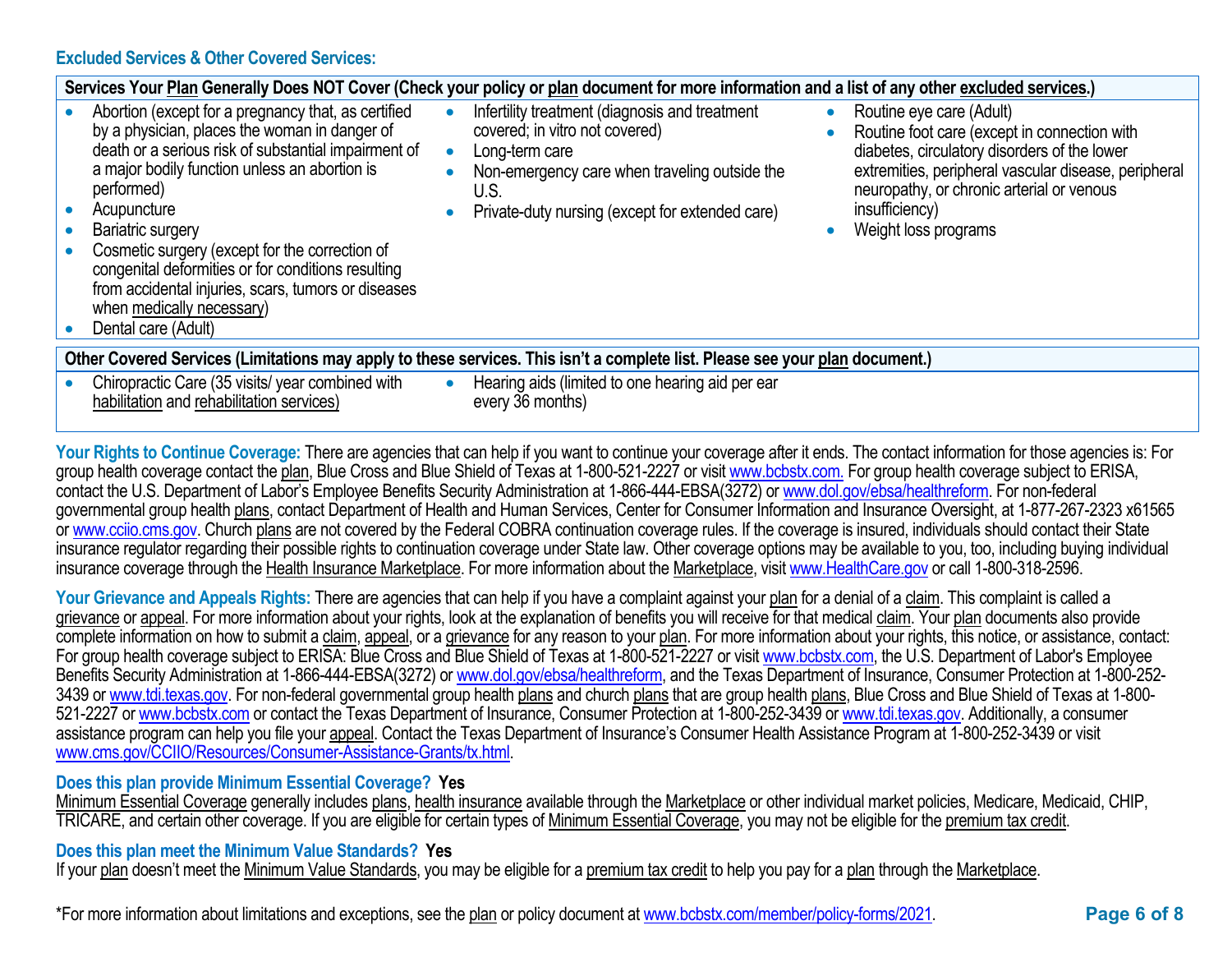#### **Excluded Services & Other Covered Services:**

|                                                                                                                              | Services Your Plan Generally Does NOT Cover (Check your policy or plan document for more information and a list of any other excluded services.)                                                                                                                                                                                                                                                                                                                                   |  |                                                                                                                                                                                                                |  |                                                                                                                                                                                                                                                                         |  |
|------------------------------------------------------------------------------------------------------------------------------|------------------------------------------------------------------------------------------------------------------------------------------------------------------------------------------------------------------------------------------------------------------------------------------------------------------------------------------------------------------------------------------------------------------------------------------------------------------------------------|--|----------------------------------------------------------------------------------------------------------------------------------------------------------------------------------------------------------------|--|-------------------------------------------------------------------------------------------------------------------------------------------------------------------------------------------------------------------------------------------------------------------------|--|
|                                                                                                                              | Abortion (except for a pregnancy that, as certified<br>by a physician, places the woman in danger of<br>death or a serious risk of substantial impairment of<br>a major bodily function unless an abortion is<br>performed)<br>Acupuncture<br>Bariatric surgery<br>Cosmetic surgery (except for the correction of<br>congenital deformities or for conditions resulting<br>from accidental injuries, scars, tumors or diseases<br>when medically necessary)<br>Dental care (Adult) |  | Infertility treatment (diagnosis and treatment<br>covered; in vitro not covered)<br>Long-term care<br>Non-emergency care when traveling outside the<br>U.S.<br>Private-duty nursing (except for extended care) |  | Routine eye care (Adult)<br>Routine foot care (except in connection with<br>diabetes, circulatory disorders of the lower<br>extremities, peripheral vascular disease, peripheral<br>neuropathy, or chronic arterial or venous<br>insufficiency)<br>Weight loss programs |  |
| Other Covered Services (Limitations may apply to these services. This isn't a complete list. Please see your plan document.) |                                                                                                                                                                                                                                                                                                                                                                                                                                                                                    |  |                                                                                                                                                                                                                |  |                                                                                                                                                                                                                                                                         |  |
|                                                                                                                              | Chiropractic Care (35 visits/ year combined with<br>habilitation and rehabilitation services)                                                                                                                                                                                                                                                                                                                                                                                      |  | Hearing aids (limited to one hearing aid per ear<br>every 36 months)                                                                                                                                           |  |                                                                                                                                                                                                                                                                         |  |

Your Rights to Continue Coverage: There are agencies that can help if you want to continue your coverage after it ends. The contact information for those agencies is: For group health coverage contact the plan, Blue Cross and Blue Shield of Texas at 1-800-521-2227 or visit [www.bcbstx.com.](http://www.bcbstx.com/) For group health coverage subject to ERISA, contact the U.S. Department of Labor's Employee Benefits Security Administration at 1-866-444-EBSA(3272) o[r www.dol.gov/ebsa/healthreform.](http://www.dol.gov/ebsa/healthreform) For non-federal governmental group health plans, contact Department of Health and Human Services, Center for Consumer Information and Insurance Oversight, at 1-877-267-2323 x61565 or [www.cciio.cms.gov.](http://www.cciio.cms.gov/) Church plans are not covered by the Federal COBRA continuation coverage rules. If the coverage is insured, individuals should contact their State insurance regulator regarding their possible rights to continuation coverage under State law. Other coverage options may be available to you, too, including buying individual insurance coverage through the Health Insurance Marketplace. For more information about the Marketplace, visit [www.HealthCare.gov](http://www.healthcare.gov/) or call 1-800-318-2596.

Your Grievance and Appeals Rights: There are agencies that can help if you have a complaint against your plan for a denial of a claim. This complaint is called a grievance or appeal. For more information about your rights, look at the explanation of benefits you will receive for that medical claim. Your plan documents also provide complete information on how to submit a claim, appeal, or a grievance for any reason to your plan. For more information about your rights, this notice, or assistance, contact: For group health coverage subject to ERISA: Blue Cross and Blue Shield of Texas at 1-800-521-2227 or visi[t www.bcbstx.com,](http://www.bcbstx.com/) the U.S. Department of Labor's Employee Benefits Security Administration at 1-866-444-EBSA(3272) o[r www.dol.gov/ebsa/healthreform,](http://www.dol.gov/ebsa/healthreform) and the Texas Department of Insurance, Consumer Protection at 1-800-2523439 o[r www.tdi.texas.gov.](http://www.tdi.texas.gov/) For non-federal governmental group health plans and church plans that are group health plans, Blue Cross and Blue Shield of Texas at 1-800-521-2227 o[r www.bcbstx.com](http://www.bcbstx.com/) or contact the Texas Department of Insurance, Consumer Protection at 1-800-252-3439 o[r www.tdi.texas.gov.](http://www.tdi.texas.gov/) Additionally, a consumer assistance program can help you file your appeal. Contact the Texas Department of Insurance's Consumer Health Assistance Program at 1-800-252-3439 or visit [www.cms.gov/CCIIO/Resources/Consumer-Assistance-Grants/tx.html.](http://www.cms.gov/CCIIO/Resources/Consumer-Assistance-Grants/tx.html)

### **Does this plan provide Minimum Essential Coverage? Yes**

Minimum Essential Coverage generally includes plans, health insurance available through the Marketplace or other individual market policies, Medicare, Medicaid, CHIP, TRICARE, and certain other coverage. If you are eligible for certain types of Minimum Essential Coverage, you may not be eligible for the premium tax credit.

### **Does this plan meet the Minimum Value Standards? Yes**

If your plan doesn't meet the Minimum Value Standards, you may be eligible for a premium tax credit to help you pay for a plan through the Marketplace.

\*For more information about limitations and exceptions, see the plan or policy document at www.bcbstx.com/member/policy-forms/2021. **Page 6 of 8**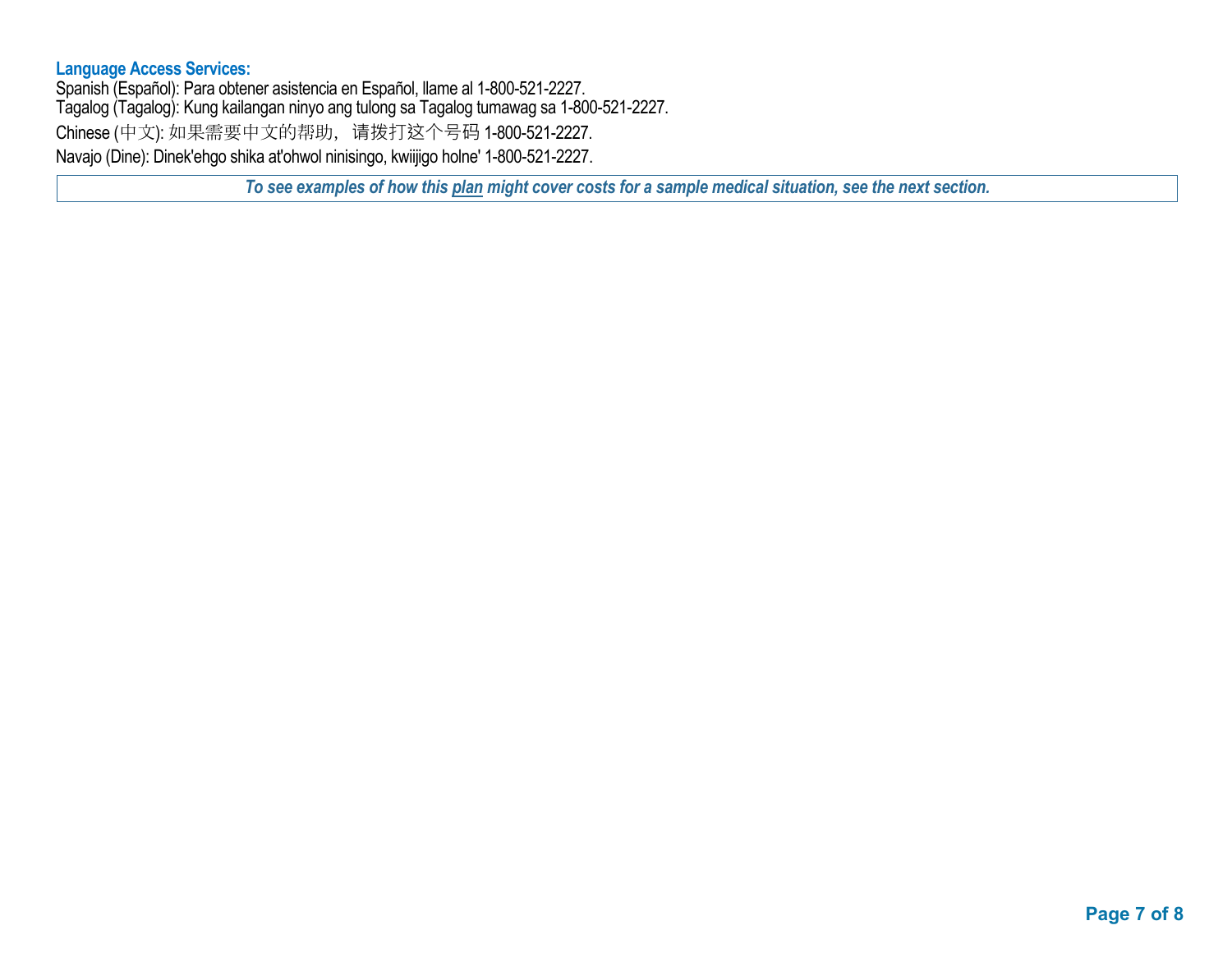#### **Language Access Services:**

Spanish (Español): Para obtener asistencia en Español, llame al 1-800-521-2227. Tagalog (Tagalog): Kung kailangan ninyo ang tulong sa Tagalog tumawag sa 1-800-521-2227. Chinese (中文): 如果需要中文的帮助,请拨打这个号码 1-800-521-2227. Navajo (Dine): Dinek'ehgo shika at'ohwol ninisingo, kwiijigo holne' 1-800-521-2227.

*To see examples of how this plan might cover costs for a sample medical situation, see the next section.*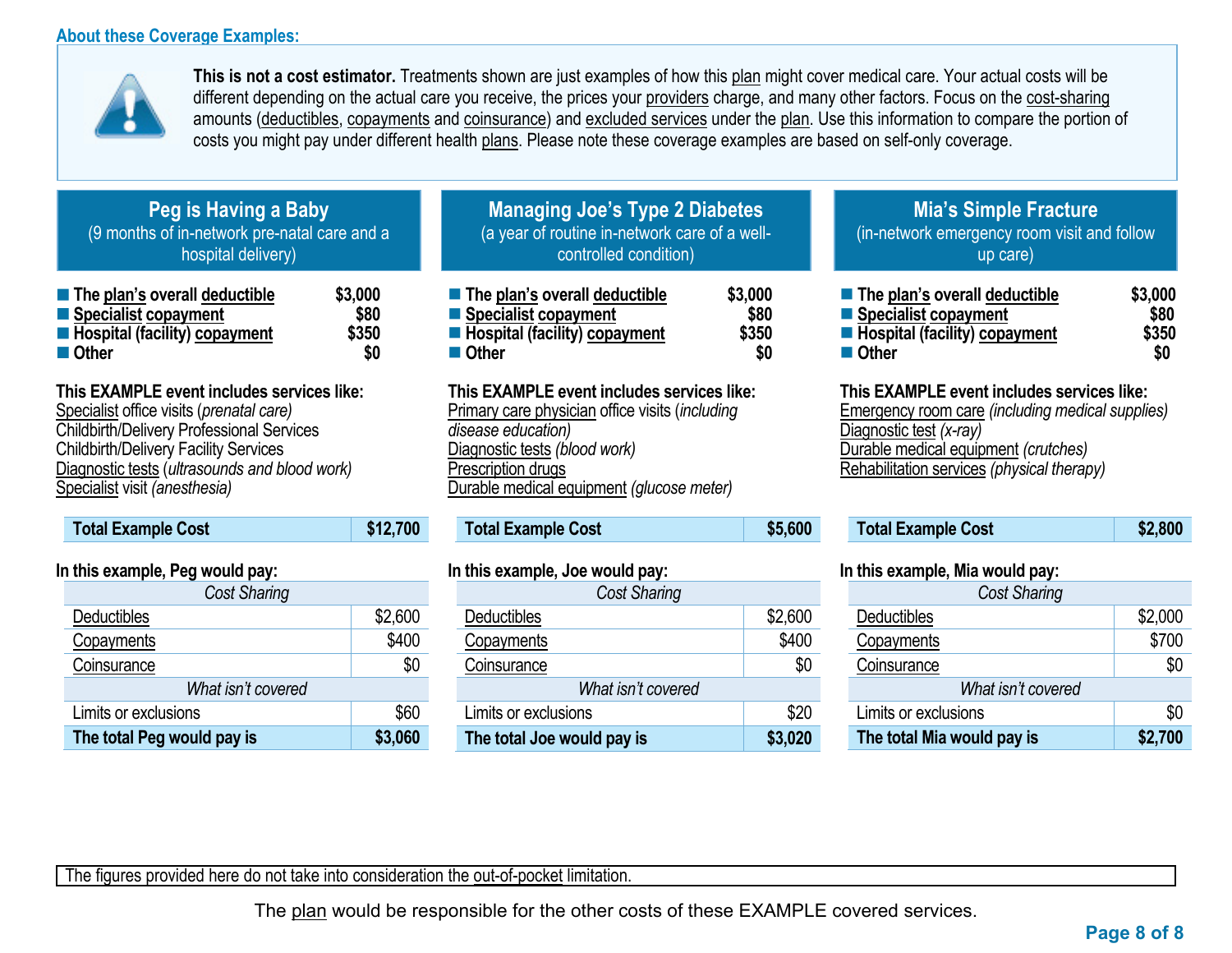# **About these Coverage Examples:**



**This is not a cost estimator.** Treatments shown are just examples of how this plan might cover medical care. Your actual costs will be different depending on the actual care you receive, the prices your providers charge, and many other factors. Focus on the cost-sharing amounts (deductibles, copayments and coinsurance) and excluded services under the plan. Use this information to compare the portion of costs you might pay under different health plans. Please note these coverage examples are based on self-only coverage.

| Peg is Having a Baby                         |
|----------------------------------------------|
| (9 months of in-network pre-natal care and a |
| hospital delivery)                           |

| $\blacksquare$ The plan's overall deductible | \$3,000 |
|----------------------------------------------|---------|
| ■ Specialist copayment                       | \$80    |
| <b>E</b> Hospital (facility) copayment       | \$350   |
| ■ Other                                      | SO      |

# **This EXAMPLE event includes services like:**

Specialist office visits (*prenatal care)* Childbirth/Delivery Professional Services Childbirth/Delivery Facility Services Diagnostic tests (*ultrasounds and blood work)* Specialist visit *(anesthesia)* 

| <b>Total Example Cost</b> | \$12,700 |
|---------------------------|----------|
|                           |          |

### **In this example, Peg would pay:**

| <b>Cost Sharing</b>        |         |
|----------------------------|---------|
| <b>Deductibles</b>         | \$2,600 |
| Copayments                 | \$400   |
| Coinsurance                | \$0     |
| What isn't covered         |         |
| Limits or exclusions       | \$60    |
| The total Peg would pay is | \$3,060 |

| <b>Managing Joe's Type 2 Diabetes</b>         |
|-----------------------------------------------|
| (a year of routine in-network care of a well- |
| controlled condition)                         |

| $\blacksquare$ The plan's overall deductible | \$3,000 |
|----------------------------------------------|---------|
| ■ Specialist copayment                       | \$80    |
| Hospital (facility) copayment                | \$350   |
| ■ Other                                      | SO      |

# **This EXAMPLE event includes services like:**

Primary care physician office visits (*including disease education)* Diagnostic tests *(blood work)* Prescription drugs Durable medical equipment *(glucose meter)* 

**Total Example Cost \$5,600** 

#### **In this example, Joe would pay:**

| <b>Cost Sharing</b>        |         |  |
|----------------------------|---------|--|
| Deductibles                | \$2,600 |  |
| Copayments                 | \$400   |  |
| Coinsurance                | \$0     |  |
| What isn't covered         |         |  |
| Limits or exclusions       | \$20    |  |
| The total Joe would pay is | \$3,020 |  |

# **Mia's Simple Fracture** (in-network emergency room visit and follow up care)

| ■ The plan's overall deductible        | \$3,000 |
|----------------------------------------|---------|
| Specialist copayment                   | \$80    |
| <b>E</b> Hospital (facility) copayment | \$350   |
| <b>■ Other</b>                         | \$0     |

#### **This EXAMPLE event includes services like:**

Emergency room care *(including medical supplies)* Diagnostic test *(x-ray)* Durable medical equipment *(crutches)* Rehabilitation services *(physical therapy)*

| <b>Total Example Cost</b> | \$2,800 |
|---------------------------|---------|
|---------------------------|---------|

#### **In this example, Mia would pay:**

| <b>Cost Sharing</b>        |         |  |
|----------------------------|---------|--|
| <b>Deductibles</b>         | \$2,000 |  |
| Copayments                 | \$700   |  |
| Coinsurance                | \$0     |  |
| What isn't covered         |         |  |
| Limits or exclusions       | \$0     |  |
| The total Mia would pay is | \$2,700 |  |

The figures provided here do not take into consideration the out-of-pocket limitation.

The plan would be responsible for the other costs of these EXAMPLE covered services.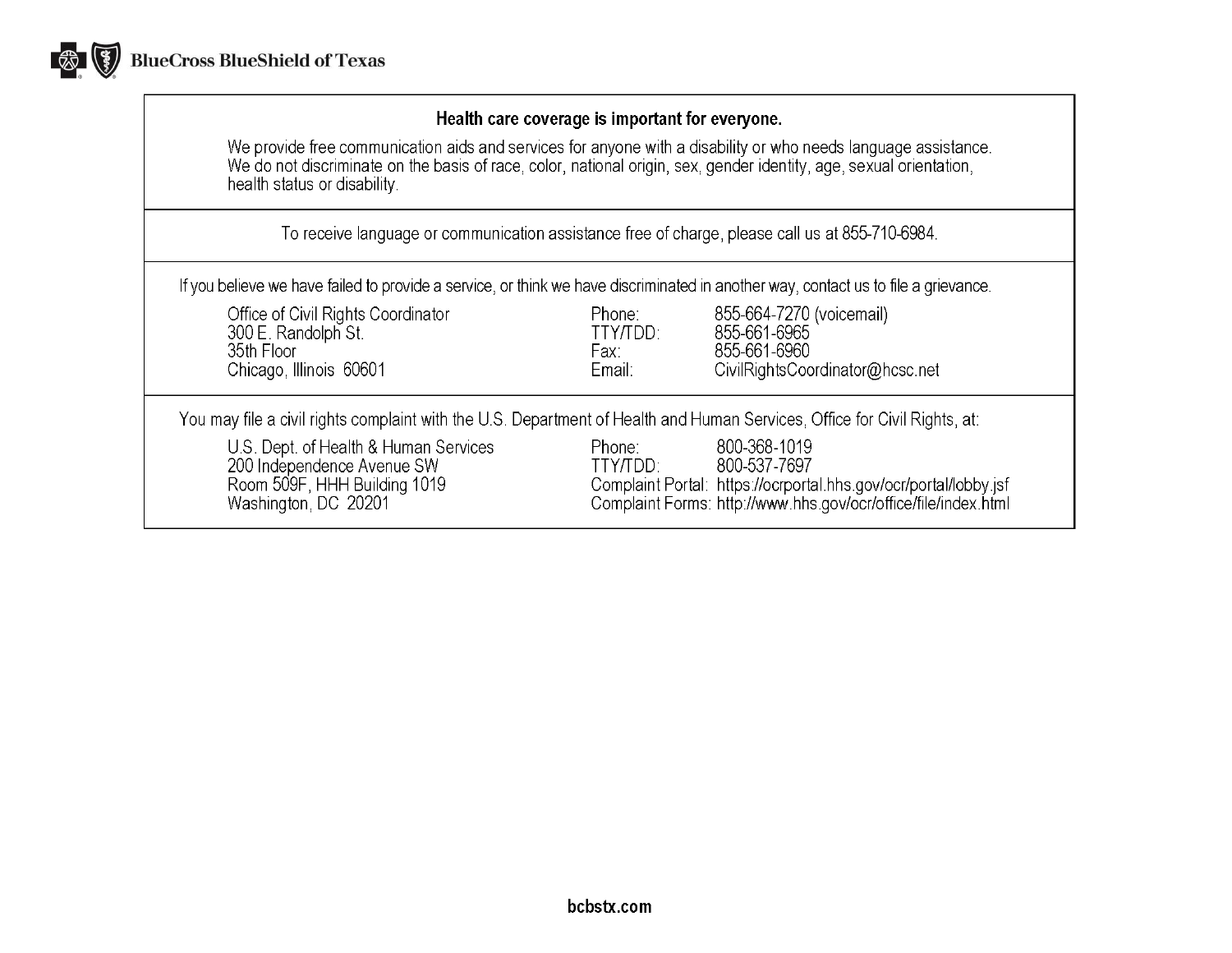

# Health care coverage is important for everyone.

We provide free communication aids and services for anyone with a disability or who needs language assistance.<br>We do not discriminate on the basis of race, color, national origin, sex, gender identity, age, sexual orientat health status or disability.

To receive language or communication assistance free of charge, please call us at 855-710-6984.

If you believe we have failed to provide a service, or think we have discriminated in another way, contact us to file a grievance.

| Office of Civil Rights Coordinator<br>300 E. Randolph St.<br>35th Floor<br>Chicago, Illinois 60601                          | Phone:<br>TTY/TDD:<br>Fax:<br>Email: | 855-664-7270 (voicemail)<br>855-661-6965<br>855-661-6960<br>CivilRightsCoordinator@hcsc.net                                                                        |
|-----------------------------------------------------------------------------------------------------------------------------|--------------------------------------|--------------------------------------------------------------------------------------------------------------------------------------------------------------------|
| You may file a civil rights complaint with the U.S. Department of Health and Human Services, Office for Civil Rights, at:   |                                      |                                                                                                                                                                    |
| U.S. Dept. of Health & Human Services<br>200 Independence Avenue SW<br>Room 509F, HHH Building 1019<br>Washington, DC 20201 | Phone:<br>TTY/TDD:                   | 800-368-1019<br>800-537-7697<br>Complaint Portal: https://ocrportal.hhs.gov/ocr/portal/lobby.jsf<br>Complaint Forms: http://www.hhs.gov/ocr/office/file/index.html |